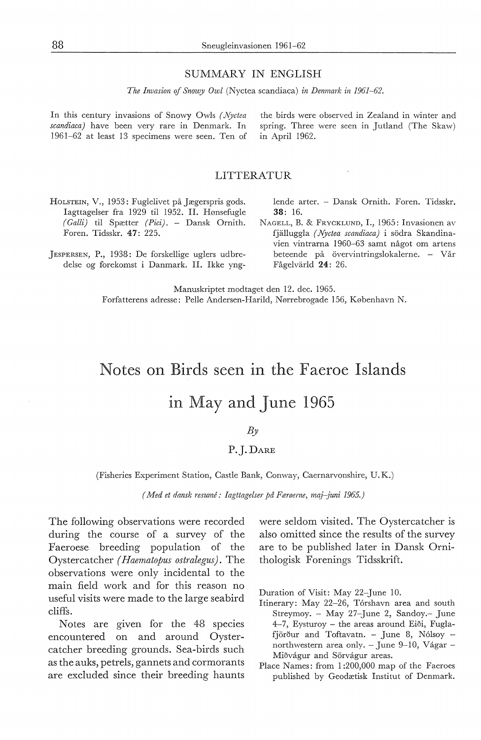#### SUMMARY IN ENGLISH

*The Invasion* ef *Snowy Owl* (Nyctea scandiaca) *in Denmark in 1961-62.* 

In this century invasions of Snowy Owls *( Njctea scandiaca)* have been very rare in Denmark. In 1961-62 at least 13 specimens were seen. Ten of the birds were observed in Zealand in winter and spring. Three were seen in Jutland (The Skaw) in April 1962.

#### LITTERATUR

- HoLSTEIN, V., 1953: Fuglelivet på Jægerspris gods. Iagttagelser fra 1929 til 1952. II. Hønsefugle *(Galli)* til Spætter *(Pici).* - Dansk Ornith. Foren. Tidsskr. 47: 225.
- ]ESPERSEN, P., 1938: De forskellige uglers udbredelse og forekomst i Danmark. II. Ikke yng-

lende arter. - Dansk Ornith. Foren. Tidsskr. 38: 16.

NAGELL, B. & FRYCKLUND, I., 1965: Invasionen av fjalluggla *( Njctea scandiaca)* i sodra Skandinavien vintrarna 1960-63 samt något om artens beteende på övervintringslokalerne. - Vår Fågelvärld 24: 26.

Manuskriptet modtaget den 12. dec. 1965. Forfatterens adresse: Pelle Andersen-Harild, Nørrebrogade 156, København N.

# Notes on Birds seen in the Faeroe Islands

## in May and June 1965

#### *By*

### P.j.DARE

(Fisheries Experiment Station, Castle Bank, Conway, Caernarvonshire, U.K.)

*(Med et dansk resume: Iagttagelser* på *Færøerne, maj-juni 1965.)* 

The following observations were recorded during the course of a survey of the Faeroese breeding population of the Oystercatcher *(Haematopus ostralegus).* The observations were only incidental to the main field work and for this reason no useful visits were made to the large seabird cliffs.

Notes are given for the 48 species encountered on and around Oystercatcher breeding grounds. Sea-birds such as the auks, petrels, gannets and cormorants are excluded since their breeding haunts were seldom visited. The Oystercatcher is also omitted since the results of the survey are to be published later in Dansk Ornithologisk Forenings Tidsskrift.

Duration of Visit: May 22-June 10.

- Itinerary: May 22-26, Tórshavn area and south Streymoy. - May 27-June 2, Sandoy.- June 4-7, Eysturoy – the areas around Eiði, Fuglafjörður and Toftavatn. - June 8, Nólsoy northwestern area only. - June 9-10, Vágar -Miðvágur and Sörvágur areas.
- Place Names: from 1 :200,000 map of the Faeroes published by Geodætisk Institut of Denmark.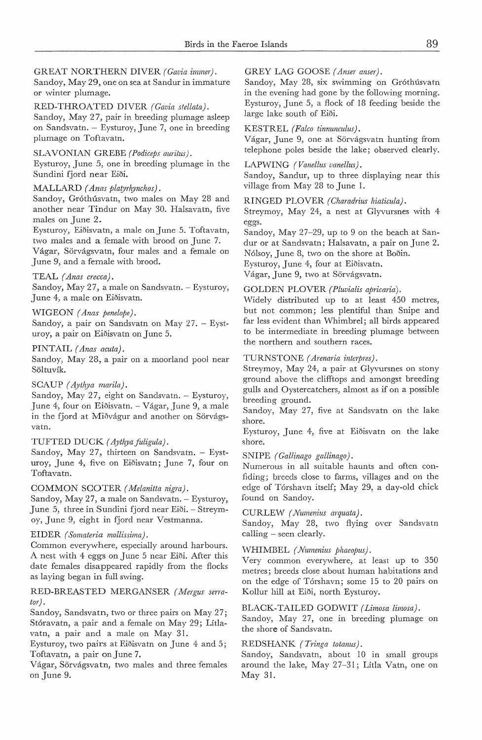GREAT NORTHERN DIVER *(Gavia immer).* 

Sandoy, May 29, one on sea at Sandur in immature or winter plumage.

RED-THROATED DIVER *(Gavia stellata).*  Sandoy, May 27, pair in breeding plumage asleep

on Sandsvatn. Eysturoy, June 7, one in breeding plumage on Toftavatn.

#### SLA VONIAN GREBE *(Podiceps auritus).*

Eysturoy, June 5, one in breeding plumage in the Sundini fjord near Eiði.

#### MALLARD *(Anas platyrhynchos).*

Sandoy, Gróthúsvatn, two males on May 28 and another near Tindur on May 30. Halsavatn, five males on June 2.

Eysturoy, Eioisvatn, a male onJune 5. Toftavatn, two males and a female with brood on June 7. Vagar, Sorvagsvatn, four males and a female on June 9, and a female with brood.

#### TEAL *(Anas crecca).*

Sandoy, May 27, a male on Sandsvatn. - Eysturoy, June 4, a male on Eiðisvatn.

#### WIGEON *(Anas penelope).*

Sandoy, a pair on Sandsvatn on May 27. Eysturoy, a pair on Eiðisvatn on June 5.

#### PINTAIL (Anas acuta).

Sandoy, May 28, a pair on a moorland pool near Söltuvík.

#### SCAUP *( Aythya marila).*

Sandoy, May 27, eight on Sandsvatn. - Eysturoy, June 4, four on Eioisvatn. - Vagar, June 9, a male in the fjord at Miðvágur and another on Sörvágsvatn.

#### TUFTED DUCK (Aythya fuligula).

Sandoy, May 27, thirteen on Sandsvatn. - Eysturoy, June 4, five on Eioisvatn; June 7, four on Toftavatn.

#### COMMON SCOTER *( Melanitta nigra).*

Sandoy, May 27, a male on Sandsvatn. - Eysturoy, June 5, three in Sundini fjord near Eiði. - Streymoy, June 9, eight in fjord near Vestmanna.

#### EIDER *(Somateria mollissima).*

Common everywhere, especially around harbours. A nest with 4 eggs on June 5 near Eioi. After this date females disappeared rapidly from the fiocks as laying began in foll swing.

#### RED-BREASTED MERGANSER *( Mergus serrator).*

Sandoy, Sandsvatn, two or three pairs on May 27; Stóravatn, a pair and a female on May 29; Lítlavatn, a pair and a male on May 31.

Eysturoy, two pairs at Eiðisvatn on June 4 and 5; Toftavatn, a pair onJune 7.

Vágar, Sörvágsvatn, two males and three females on June 9.

GREY LAG GOOSE *(Anser anser).* 

Sandoy, May 28, six swimming on Gróthúsvatn in the evening had gone by the following morning. Eysturoy, June 5, a flock of 18 feeding beside the large lake south of Eiði.

#### KESTREL *(Falco tinnunculus).*

Vágar, June 9, one at Sörvágsvatn hunting from telephone poles beside the lake; observed clearly.

#### LAPWING *(Vanellus vanellus).*

Sandoy, Sandur, up to three displaying near this village from May 28 to June 1.

#### RINGED PLOVER *(Charadrius hiaticula).*

Streymoy, May 24, a nest at Glyvursnes with 4 eggs.

Sandoy, May 27-29, up to 9 on the beach at Sandur or at Sandsvatn; Halsavatn, a pair on June 2. Nolsoy, June 8, two on the shore at Booin.

Eysturoy, June 4, four at Eiðisvatn.

Vágar, June 9, two at Sörvágsvatn.

#### GOLDEN PLOVER *(Pluvialis apricaria).*

Widely distributed up to at least 450 metres, but not common; less plentiful than Snipe and far less evident than Whimbrel; all birds appeared to be intermediate in breeding plumage between the northern and southern races.

#### TURNSTONE *( Arenaria interpres).*

Streymoy, May 24, a pair at Glyvursnes on stony ground above the clifftops and amongst breeding gulls and Oystercatchers, almost as if on a possible breeding ground.

Sandoy, May 27, five at Sandsvatn on the lake shore.

Eysturoy, June 4, five at Eioisvatn on the lake shore.

SNIPE *( Gallinago gallinago).* 

Numerous in all suitable haunts and often confiding; breeds close to farms, villages and on the edge of Tórshavn itself; May 29, a day-old chick found on Sandoy.

CURLEW *( Numenius arquata).* 

Sandoy, May 28, two fiying over Sandsvatn calling  $-$  seen clearly.

#### WHIMBEL *(Numenius phaeopus)*.

Very common everywhere, at least up to 350 metres; breeds close about human habitations and on the edge of Tórshavn; some 15 to 20 pairs on Kollur hill at Eiði, north Eysturoy.

#### BLACK-TAILED GODWIT *(Limosa limosa).*

Sandoy, May 27, one in breeding plumage on the shore of Sandsvatn.

#### REDSHANK *( Tringa totanus).*

Sandoy, Sandsvatn, about 10 in small groups around the lake, May 27-31; Litla Vatn, one on May 31.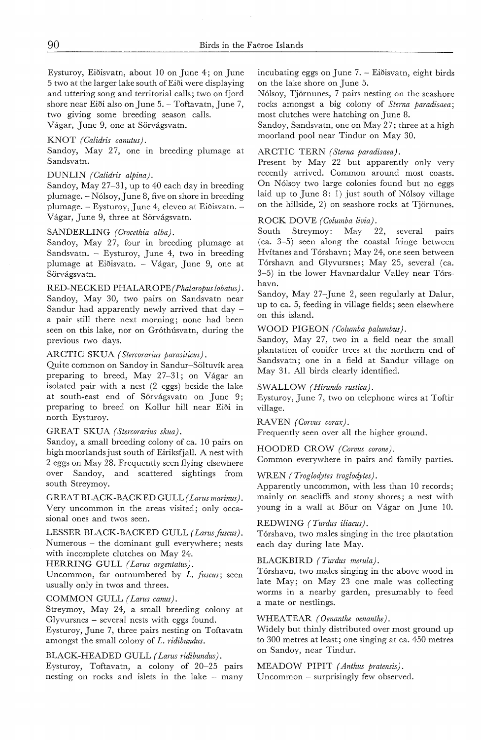Eysturoy, Eiðisvatn, about 10 on June 4; on June 5 two at the larger lake south ofEi5i were displaying and uttering song and territorial calls; two on fjord shore near Eiði also on June 5. - Toftavatn, June 7, two giving some breeding season calls. Vágar, June 9, one at Sörvágsvatn.

#### KNOT *(Calidris canutus).*

Sandoy, May 27, one in breeding plumage at Sandsvatn.

#### DUNLIN *(Calidris alpina).*

Sandoy, May 27-31, up to 40 each day in breeding plumage. - Nólsoy, June 8, five on shore in breeding plumage. - Eysturoy, June 4, eleven at Eiðisvatn. -Vágar, June 9, three at Sörvágsvatn.

#### SANDERLING *(Crocethia alba).*

Sandoy, May 27, four in breeding plumage at Sandsvatn. - Eysturoy, June 4, two in breeding plumage at Eiðisvatn. - Vágar, June 9, one at Sörvágsvatn.

RED-NECKED PHALARO PE *( Phalaropus lobatus).*  Sandoy, May 30, two pairs on Sandsvatn near Sandur had apparently newly arrived that day a pair still there next morning; none had been seen on this lake, nor on Gróthúsvatn, during the previous two days.

#### ARCTIC SKUA *( Stercorarius parasiticus).*

Quite common on Sandoy in Sandur-Soltuvik area preparing to breed, May 27-31; on Vagar an isolated pair with a nest (2 eggs) beside the lake at south-east end of Sörvágsvatn on June 9; preparing to breed on Kollur hill near Ei5i in north Eysturoy.

#### GREAT SKUA *(Stercorarius skua).*

Sandoy, a small breeding colony of ca. 10 pairs on high moorlandsjust south of Eiriksfjall. A nest with 2 eggs on May 28. Frequently seen flying elsewhere over Sandoy, and scattered sightings from south Streymoy.

GREAT BLACK-BACKED GULL *( Larus marinus).*  Very uncommon in the areas visited; only occasional ones and twos seen.

LESSER BLACK-BACKED GULL *(Larus fuscus)*. Numerous - the dominant gull everywhere; nests with incomplete clutches on May 24.

HERRING GULL *( Larus argentatus).* 

Uncommon, far outnumbered by *L. fuscus;* seen usually only in twos and threes.

COMMON GULL *(Larus canus).* 

Streymoy, May 24, a small breeding colony at Glyvursnes - several nests with eggs found.

Eysturoy, June 7, three pairs nesting on Toftavatn amongst the small colony of *L. ridibundus.* 

#### BLACK-HEADED GULL *( Larus ridibundus).*

Eysturoy, Toftavatn, a colony of 20-25 pairs nesting on rocks and islets in the lake - many incubating eggs on June 7. – Eiðisvatn, eight birds on the lake shore on June 5.

Nólsoy, Tjörnunes, 7 pairs nesting on the seashore rocks amongst a big colony of *Sterna paradisaea;*  most clutches were hatching on June 8.

Sandoy, Sandsvatn, one on May 27; three at a high moorland pool near Tindur on May 30.

#### ARCTIC TERN *( Sterna paradisaea).*

Present by May 22 but apparently only very recently arrived. Common around most coasts. On Nólsoy two large colonies found but no eggs laid up to June 8: 1) just south of Nolsoy village on the hillside, 2) on seashore rocks at Tjornunes.

ROCK DOVE *(Columba livia).*  Streymoy: May 22, several pairs (ca. 3-5) seen along the coastal fringe between Hvitanes and Torshavn; May 24, one seen between Tórshavn and Glyvursnes; May 25, several (ca. 3-5) in the lower Havnardalur Valley near Tórshavn.

Sandoy, May 27-June 2, seen regularly at Dalur, up to ca. 5, feeding in village fields; seen elsewhere on this island.

#### WOOD PIGEON *(Columba palumbus).*

Sandoy, May 27, two in a field near the small plantation of conifer trees at the northern end of Sandsvatn; one in a field at Sandur village on May 31. All birds clearly identified.

#### SWALLOW *(Hirundo rustica).*

Eysturoy, June 7, two on telephone wires at Toftir village.

RA VEN *( Corvus corax).*  Frequently seen over all the higher ground.

HOODED CROW *(Corvus corone).* 

Common everywhere in pairs and family parties.

#### WREN *( Troglodytes troglodytes).*

Apparently uncommon, with less than 10 records; mainly on seacliffs and stony shores; a nest with young in a wall at Böur on Vágar on June 10.

#### REDWING *(Turdus iliacus).*

Torshavn, two males singing in the tree plantation each day during late May.

#### BLACKBIRD *(Turdus merula).*

Tórshavn, two males singing in the above wood in late May; on May 23 one male was collecting worms in a nearby garden, presumably to feed a mate or nestlings.

#### WHEATEAR *(Oenanthe oenanthe)*.

Widely but thinly distributed over most ground up to 300 metres at least; one singing at ca. 450 metres on Sandoy, near Tindur.

#### MEADOW PIPIT *( Anthus pratensis).*

Uncommon - surprisingly few observed.